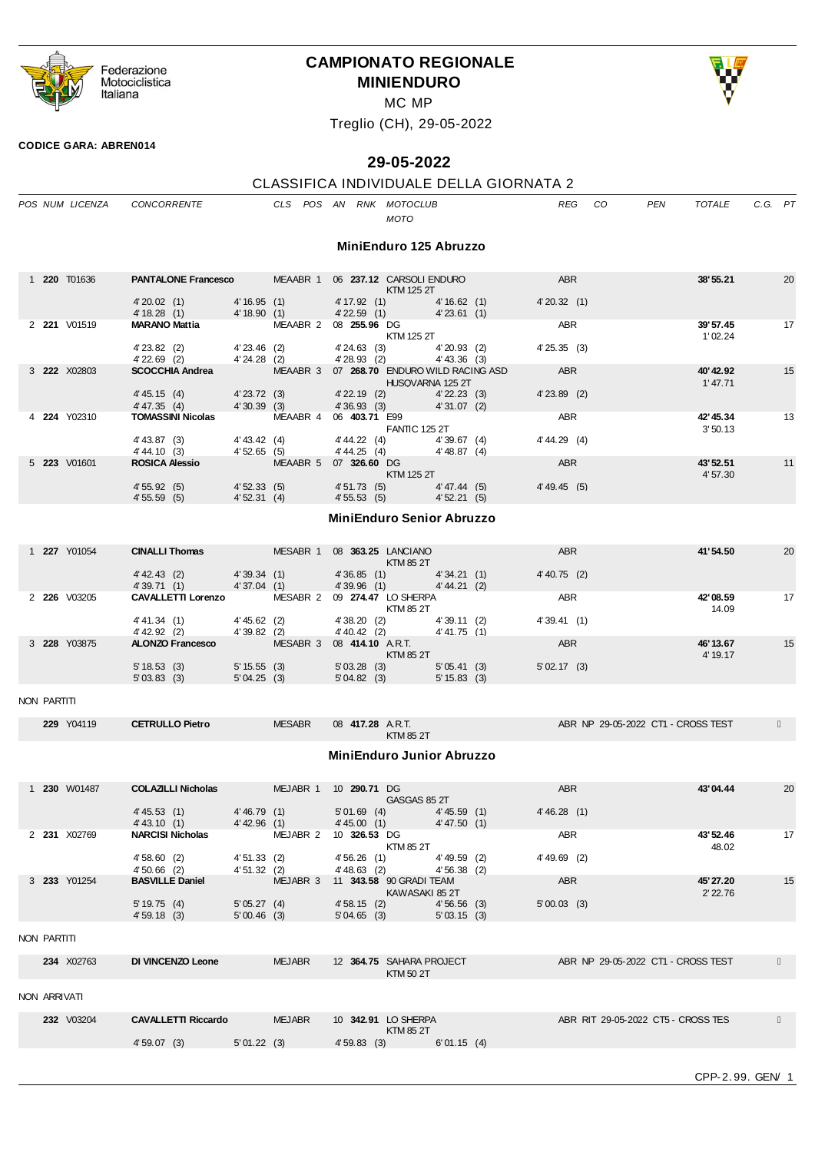

# **CAMPIONATO REGIONALE MINIENDURO**



MC MP

Treglio (CH), 29-05-2022

#### **CODICE GARA: ABREN014**

# **29-05-2022**

## CLASSIFICA INDIVIDUALE DELLA GIORNATA 2

|              | POS NUM LICENZA     | CONCORRENTE                                                               |                                | CLS POS AN RNK MOTOCLUB          |                                  | MOTO                                    |                              | <b>REG</b>                   | CO | <b>PEN</b>                         | <b>TOTALE</b>         | $C.G.$ $PT$ |    |
|--------------|---------------------|---------------------------------------------------------------------------|--------------------------------|----------------------------------|----------------------------------|-----------------------------------------|------------------------------|------------------------------|----|------------------------------------|-----------------------|-------------|----|
|              |                     |                                                                           |                                |                                  |                                  | MiniEnduro 125 Abruzzo                  |                              |                              |    |                                    |                       |             |    |
|              | 1 <b>220</b> T01636 | <b>PANTALONE Francesco MEAABR 1 06 237.12 CARSOLI ENDURO</b>              |                                |                                  |                                  | KTM 125 2T                              |                              | <b>ABR</b>                   |    |                                    | 38'55.21              |             | 20 |
|              |                     | 4'20.02(1)<br>4' 18.28(1)                                                 | 4'16.95(1)<br>4' 18.90(1)      |                                  | $4'$ 22.59 $(1)$                 | 4' 17.92 (1) 4' 16.62 (1)               | 4'23.61(1)                   | 4'20.32(1)                   |    |                                    |                       |             |    |
|              | 2 221 V01519        | <b>MARANO Mattia</b>                                                      |                                | MEAABR 2 08 <b>255.96</b> DG     |                                  | KTM 125 2T                              |                              | ABR                          |    |                                    | 39'57.45<br>1'02.24   |             | 17 |
|              |                     | 4' 23.82 (2)<br>$4'$ 22.69 $(2)$                                          | $4'23.46$ (2)<br>$4'24.28$ (2) |                                  | 4'24.63(3)<br>4'28.93(2)         |                                         | 4'20.93(2)<br>$4' 43.36$ (3) | 4'25.35(3)                   |    |                                    |                       |             |    |
|              | 3 222 X02803        | SCOCCHIA Andrea MEAABR 3 07 268.70 ENDURO WILD RACING ASD<br>4' 45.15 (4) | 4' 23.72 (3)                   |                                  |                                  | <b>HUSQVARNA 125 2T</b>                 |                              | <b>ABR</b><br>$4'$ 23.89 (2) |    |                                    | 40'42.92<br>1'47.71   |             | 15 |
|              |                     | 4' 47.35 (4)                                                              | 4'30.39(3)                     |                                  | 4' 22.19 (2)<br>4' 36.93 (3)     |                                         | 4'22.23(3)<br>4'31.07(2)     |                              |    |                                    |                       |             |    |
|              | 4 224 Y02310        | <b>TOMASSINI Nicolas</b>                                                  |                                | MEAABR 4 06 403.71 E99           |                                  | <b>FANTIC 125 2T</b>                    |                              | ABR<br>4' 44.29 (4)          |    |                                    | 42'45.34<br>3'50.13   |             | 13 |
|              |                     | $4' 43.87$ (3)<br>4' 44.10 (3)                                            | 4' 43.42 (4)<br>4'52.65(5)     |                                  | 4' 44.25 (4)                     | 4' 44.22 (4) 4' 39.67 (4)               | 4' 48.87 (4)                 |                              |    |                                    |                       |             |    |
|              | 5 223 V01601        | <b>ROSICA Alessio</b>                                                     |                                | MEAABR 5 07 326.60 DG            |                                  | KTM 125 2T                              |                              | ABR                          |    |                                    | 43' 52.51<br>4'57.30  |             | 11 |
|              |                     | 4'55.92(5)<br>4'55.59(5)                                                  | 4'52.33(5)<br>4'52.31(4)       |                                  | 4' 51.73 (5)<br>4'55.53(5)       |                                         | 4'47.44 (5)<br>4'52.21(5)    | 4' 49.45 (5)                 |    |                                    |                       |             |    |
|              |                     |                                                                           |                                |                                  | <b>MiniEnduro Senior Abruzzo</b> |                                         |                              |                              |    |                                    |                       |             |    |
|              | 1 <b>227</b> Y01054 | <b>CINALLI Thomas</b>                                                     |                                | MESABR 1 08 363.25 LANCIANO      |                                  |                                         |                              | ABR                          |    |                                    | 41'54.50              |             | 20 |
|              |                     | 4' 42.43 (2)<br>4'39.71(1)                                                | 4'39.34(1)<br>4'37.04(1)       |                                  | 4'36.85(1)<br>4'39.96(1)         | KTM 85 2T                               | 4'34.21(1)<br>4' 44.21 (2)   | $4' 40.75$ (2)               |    |                                    |                       |             |    |
|              | 2 226 V03205        | CAVALLETTI Lorenzo MESABR 2 09 274.47 LO SHERPA                           |                                |                                  |                                  |                                         |                              | ABR                          |    |                                    | 42'08.59              |             | 17 |
|              |                     | 4' 41.34 (1)                                                              | $4' 45.62$ (2)                 |                                  |                                  | KTM 85 2T<br>4'38.20 (2) 4'39.11 (2)    |                              | 4'39.41(1)                   |    |                                    | 14.09                 |             |    |
|              |                     | 4' 42.92 (2)<br>ALONZO Francesco                                          | 4'39.82(2)                     | MESABR 3 08 414.10 A.R.T.        | 4' 40.42 (2)                     |                                         | 4' 41.75(1)                  | ABR                          |    |                                    |                       |             |    |
|              | 3 228 Y03875        |                                                                           |                                |                                  |                                  | KTM 85 2T                               |                              |                              |    |                                    | 46' 13.67<br>4' 19.17 |             | 15 |
|              |                     | 5' 18.53(3)<br>5'03.83(3)                                                 | 5' 15.55 (3)<br>5'04.25(3)     |                                  | 5'03.28(3)<br>5'04.82(3)         |                                         | 5'05.41(3)<br>$5' 15.83$ (3) | 5'02.17(3)                   |    |                                    |                       |             |    |
| NON PARTITI  |                     |                                                                           |                                |                                  |                                  |                                         |                              |                              |    |                                    |                       |             |    |
|              | 229 Y04119          | <b>CETRULLO Pietro</b>                                                    |                                | <b>MESABR</b>                    | 08 417.28 A.R.T.                 | <b>KTM 85 2T</b>                        |                              |                              |    | ABR NP 29-05-2022 CT1 - CROSS TEST |                       |             |    |
|              |                     |                                                                           |                                |                                  | <b>MiniEnduro Junior Abruzzo</b> |                                         |                              |                              |    |                                    |                       |             |    |
|              | 1 <b>230</b> W01487 | <b>COLAZILLI Nicholas</b>                                                 |                                | MEJABR 1 10 290.71 DG            |                                  |                                         |                              | <b>ABR</b>                   |    |                                    | 43'04.44              |             | 20 |
|              |                     | 4' 45.53(1)<br>4' 43.10(1)                                                | 4'46.79 (1)<br>4' 42.96 (1)    |                                  | $5'01.69$ (4)<br>4' 45.00 (1)    | GASGAS 85 2T                            | 4'45.59(1)<br>4' 47.50(1)    | 4'46.28(1)                   |    |                                    |                       |             |    |
|              | 2 231 X02769        | <b>NARCISI Nicholas</b>                                                   |                                | MEJABR 2 10 326.53 DG            |                                  |                                         |                              | <b>ABR</b>                   |    |                                    | 43'52.46              |             | 17 |
|              |                     | 4'58.60(2)                                                                | 4'51.33(2)                     |                                  | 4'56.26(1)                       | KTM 85 2T                               | 4'49.59 (2)                  | $4' 49.69$ (2)               |    |                                    | 48.02                 |             |    |
|              | 3 233 Y01254        | $4'50.66$ (2)<br><b>BASVILLE Daniel</b>                                   | 4'51.32(2)                     | MEJABR 3 11 343.58 90 GRADI TEAM | $4' 48.63$ (2)                   | KAWASAKI 852T                           | 4'56.38(2)                   | ABR                          |    |                                    | 45' 27.20             |             | 15 |
|              |                     | 5'19.75(4)<br>4'59.18(3)                                                  | 5'05.27(4)<br>$5'00.46$ (3)    |                                  | 4'58.15(2)<br>5'04.65(3)         |                                         | 4'56.56(3)<br>$5'$ 03.15 (3) | 5'00.03(3)                   |    |                                    | 2' 22.76              |             |    |
| NON PARTITI  |                     |                                                                           |                                |                                  |                                  |                                         |                              |                              |    |                                    |                       |             |    |
|              | 234 X02763          | DI VINCENZO Leone                                                         |                                | <b>MEJABR</b>                    |                                  | 12 364.75 SAHARA PROJECT<br>KTM 50 2T   |                              |                              |    | ABR NP 29-05-2022 CT1 - CROSS TEST |                       |             |    |
| NON ARRIVATI |                     |                                                                           |                                |                                  |                                  |                                         |                              |                              |    |                                    |                       |             |    |
|              | 232 V03204          | <b>CAVALLETTI Riccardo</b>                                                |                                | <b>MEJABR</b>                    |                                  | 10 342.91 LO SHERPA<br><b>KTM 85 2T</b> |                              |                              |    | ABR RIT 29-05-2022 CT5 - CROSS TES |                       |             |    |
|              |                     | 4'59.07(3)                                                                | 5'01.22(3)                     |                                  | 4'59.83(3)                       |                                         | $6' 01.15$ (4)               |                              |    |                                    |                       |             |    |
|              |                     |                                                                           |                                |                                  |                                  |                                         |                              |                              |    |                                    |                       |             |    |